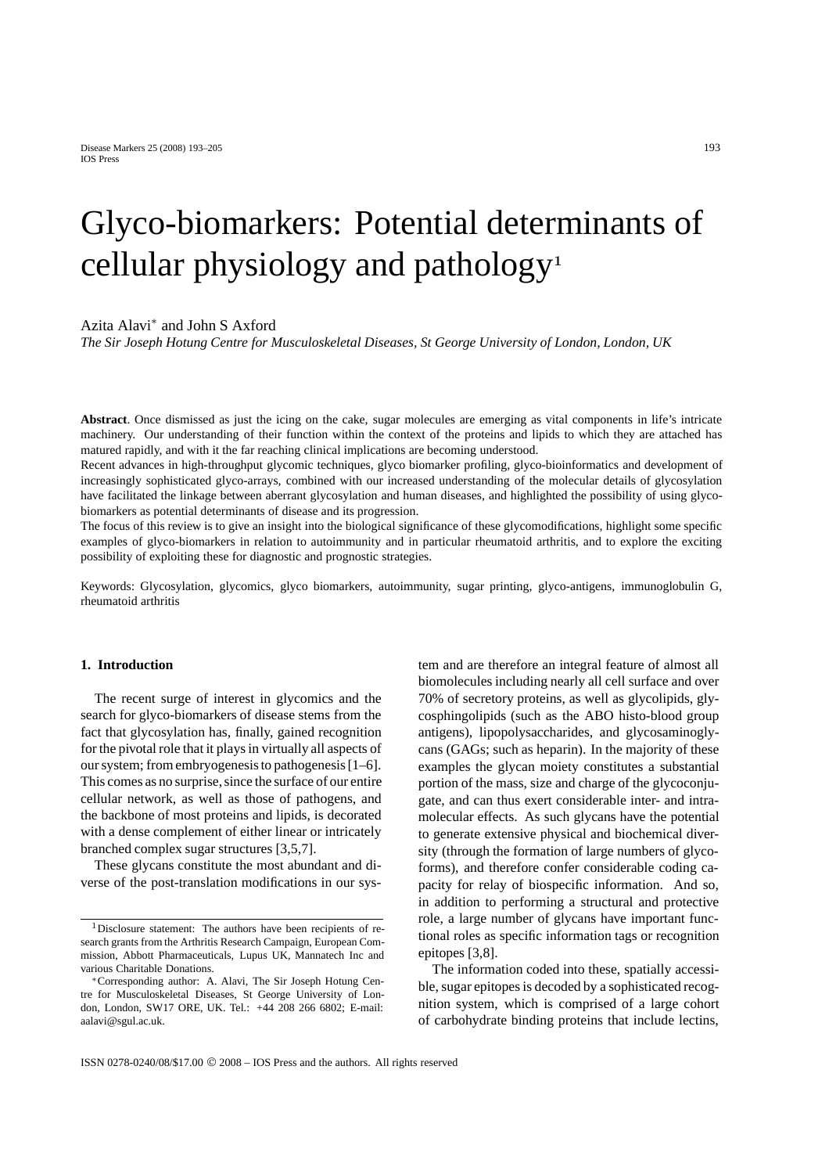# Glyco-biomarkers: Potential determinants of cellular physiology and pathology**<sup>1</sup>**

Azita Alavi∗ and John S Axford

*The Sir Joseph Hotung Centre for Musculoskeletal Diseases, St George University of London, London, UK*

**Abstract**. Once dismissed as just the icing on the cake, sugar molecules are emerging as vital components in life's intricate machinery. Our understanding of their function within the context of the proteins and lipids to which they are attached has matured rapidly, and with it the far reaching clinical implications are becoming understood.

Recent advances in high-throughput glycomic techniques, glyco biomarker profiling, glyco-bioinformatics and development of increasingly sophisticated glyco-arrays, combined with our increased understanding of the molecular details of glycosylation have facilitated the linkage between aberrant glycosylation and human diseases, and highlighted the possibility of using glycobiomarkers as potential determinants of disease and its progression.

The focus of this review is to give an insight into the biological significance of these glycomodifications, highlight some specific examples of glyco-biomarkers in relation to autoimmunity and in particular rheumatoid arthritis, and to explore the exciting possibility of exploiting these for diagnostic and prognostic strategies.

Keywords: Glycosylation, glycomics, glyco biomarkers, autoimmunity, sugar printing, glyco-antigens, immunoglobulin G, rheumatoid arthritis

#### **1. Introduction**

The recent surge of interest in glycomics and the search for glyco-biomarkers of disease stems from the fact that glycosylation has, finally, gained recognition for the pivotal role that it plays in virtually all aspects of our system; from embryogenesis to pathogenesis [1–6]. This comes as no surprise, since the surface of our entire cellular network, as well as those of pathogens, and the backbone of most proteins and lipids, is decorated with a dense complement of either linear or intricately branched complex sugar structures [3,5,7].

These glycans constitute the most abundant and diverse of the post-translation modifications in our system and are therefore an integral feature of almost all biomolecules including nearly all cell surface and over 70% of secretory proteins, as well as glycolipids, glycosphingolipids (such as the ABO histo-blood group antigens), lipopolysaccharides, and glycosaminoglycans (GAGs; such as heparin). In the majority of these examples the glycan moiety constitutes a substantial portion of the mass, size and charge of the glycoconjugate, and can thus exert considerable inter- and intramolecular effects. As such glycans have the potential to generate extensive physical and biochemical diversity (through the formation of large numbers of glycoforms), and therefore confer considerable coding capacity for relay of biospecific information. And so, in addition to performing a structural and protective role, a large number of glycans have important functional roles as specific information tags or recognition epitopes [3,8].

The information coded into these, spatially accessible, sugar epitopes is decoded by a sophisticated recognition system, which is comprised of a large cohort of carbohydrate binding proteins that include lectins,

<sup>&</sup>lt;sup>1</sup>Disclosure statement: The authors have been recipients of research grants from the Arthritis Research Campaign, European Commission, Abbott Pharmaceuticals, Lupus UK, Mannatech Inc and various Charitable Donations.

<sup>∗</sup>Corresponding author: A. Alavi, The Sir Joseph Hotung Centre for Musculoskeletal Diseases, St George University of London, London, SW17 ORE, UK. Tel.: +44 208 266 6802; E-mail: aalavi@sgul.ac.uk.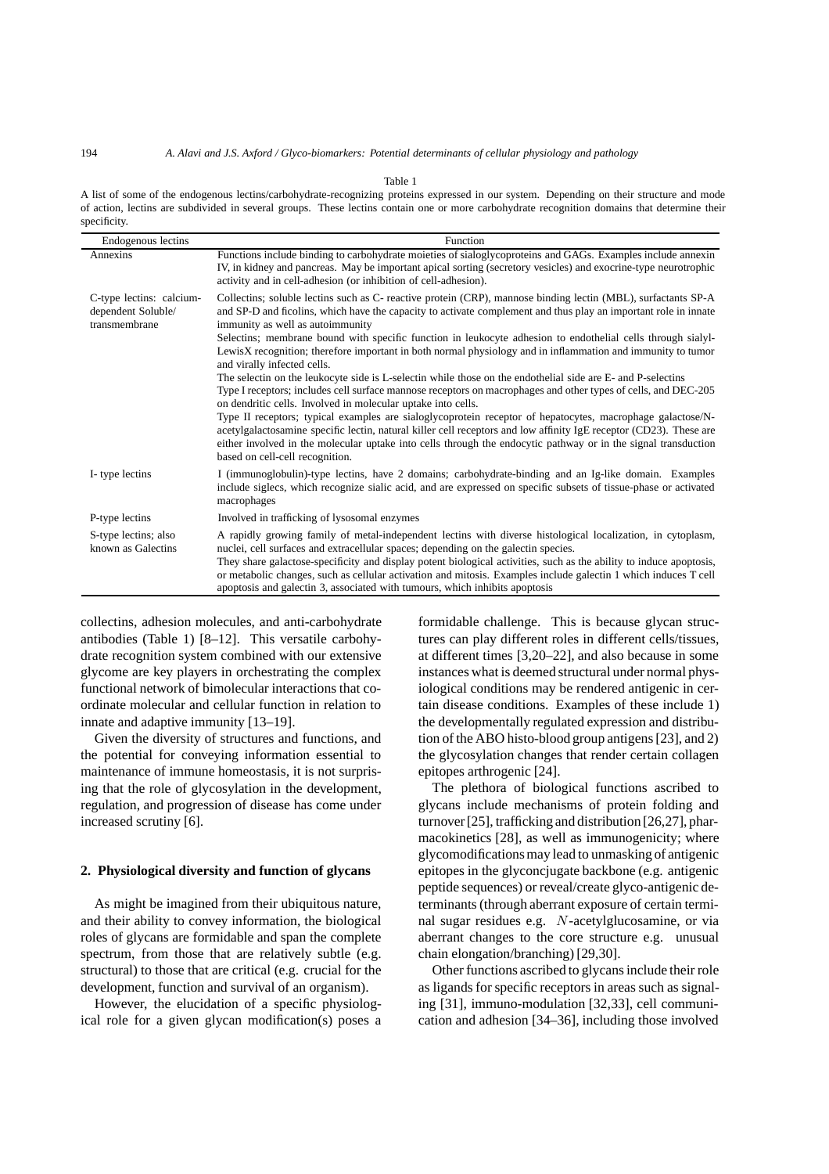#### Table 1

A list of some of the endogenous lectins/carbohydrate-recognizing proteins expressed in our system. Depending on their structure and mode of action, lectins are subdivided in several groups. These lectins contain one or more carbohydrate recognition domains that determine their specificity.

| Endogenous lectins                                              | Function                                                                                                                                                                                                                                                                                                                                                                                                                                                                                                                   |
|-----------------------------------------------------------------|----------------------------------------------------------------------------------------------------------------------------------------------------------------------------------------------------------------------------------------------------------------------------------------------------------------------------------------------------------------------------------------------------------------------------------------------------------------------------------------------------------------------------|
| Annexins                                                        | Functions include binding to carbohydrate moieties of sialoglycoproteins and GAGs. Examples include annexin<br>IV, in kidney and pancreas. May be important apical sorting (secretory vesicles) and exocrine-type neurotrophic<br>activity and in cell-adhesion (or inhibition of cell-adhesion).                                                                                                                                                                                                                          |
| C-type lectins: calcium-<br>dependent Soluble/<br>transmembrane | Collectins; soluble lectins such as C- reactive protein (CRP), mannose binding lectin (MBL), surfactants SP-A<br>and SP-D and ficolins, which have the capacity to activate complement and thus play an important role in innate<br>immunity as well as autoimmunity<br>Selectins; membrane bound with specific function in leukocyte adhesion to endothelial cells through sialyl-<br>LewisX recognition; therefore important in both normal physiology and in inflammation and immunity to tumor                         |
|                                                                 | and virally infected cells.                                                                                                                                                                                                                                                                                                                                                                                                                                                                                                |
|                                                                 | The selectin on the leukocyte side is L-selectin while those on the endothelial side are E- and P-selectins<br>Type I receptors; includes cell surface mannose receptors on macrophages and other types of cells, and DEC-205<br>on dendritic cells. Involved in molecular uptake into cells.                                                                                                                                                                                                                              |
|                                                                 | Type II receptors; typical examples are sialoglycoprotein receptor of hepatocytes, macrophage galactose/N-<br>acetylgalactosamine specific lectin, natural killer cell receptors and low affinity IgE receptor (CD23). These are<br>either involved in the molecular uptake into cells through the endocytic pathway or in the signal transduction<br>based on cell-cell recognition.                                                                                                                                      |
| I- type lectins                                                 | I (immunoglobulin)-type lectins, have 2 domains; carbohydrate-binding and an Ig-like domain. Examples<br>include siglecs, which recognize sialic acid, and are expressed on specific subsets of tissue-phase or activated<br>macrophages                                                                                                                                                                                                                                                                                   |
| P-type lectins                                                  | Involved in trafficking of lysosomal enzymes                                                                                                                                                                                                                                                                                                                                                                                                                                                                               |
| S-type lectins; also<br>known as Galectins                      | A rapidly growing family of metal-independent lectins with diverse histological localization, in cytoplasm,<br>nuclei, cell surfaces and extracellular spaces; depending on the galectin species.<br>They share galactose-specificity and display potent biological activities, such as the ability to induce apoptosis,<br>or metabolic changes, such as cellular activation and mitosis. Examples include galectin 1 which induces T cell<br>apoptosis and galectin 3, associated with tumours, which inhibits apoptosis |

collectins, adhesion molecules, and anti-carbohydrate antibodies (Table 1) [8–12]. This versatile carbohydrate recognition system combined with our extensive glycome are key players in orchestrating the complex functional network of bimolecular interactions that coordinate molecular and cellular function in relation to innate and adaptive immunity [13–19].

Given the diversity of structures and functions, and the potential for conveying information essential to maintenance of immune homeostasis, it is not surprising that the role of glycosylation in the development, regulation, and progression of disease has come under increased scrutiny [6].

#### **2. Physiological diversity and function of glycans**

As might be imagined from their ubiquitous nature, and their ability to convey information, the biological roles of glycans are formidable and span the complete spectrum, from those that are relatively subtle (e.g. structural) to those that are critical (e.g. crucial for the development, function and survival of an organism).

However, the elucidation of a specific physiological role for a given glycan modification(s) poses a formidable challenge. This is because glycan structures can play different roles in different cells/tissues, at different times [3,20–22], and also because in some instances what is deemed structural under normal physiological conditions may be rendered antigenic in certain disease conditions. Examples of these include 1) the developmentally regulated expression and distribution of the ABO histo-blood group antigens [23], and 2) the glycosylation changes that render certain collagen epitopes arthrogenic [24].

The plethora of biological functions ascribed to glycans include mechanisms of protein folding and turnover[25], trafficking and distribution [26,27], pharmacokinetics [28], as well as immunogenicity; where glycomodifications may lead to unmasking of antigenic epitopes in the glyconcjugate backbone (e.g. antigenic peptide sequences) or reveal/create glyco-antigenic determinants (through aberrant exposure of certain terminal sugar residues e.g. N-acetylglucosamine, or via aberrant changes to the core structure e.g. unusual chain elongation/branching) [29,30].

Other functions ascribed to glycans include their role as ligands for specific receptors in areas such as signaling [31], immuno-modulation [32,33], cell communication and adhesion [34–36], including those involved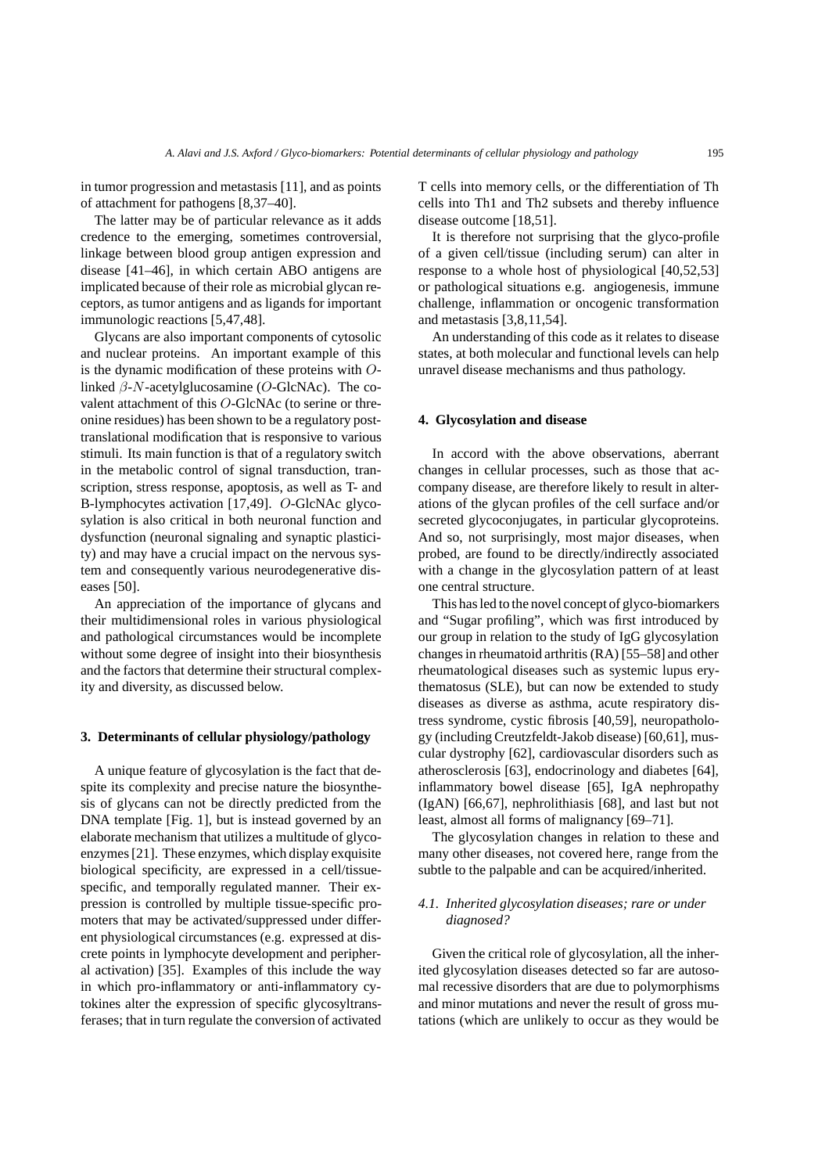in tumor progression and metastasis [11], and as points of attachment for pathogens [8,37–40].

The latter may be of particular relevance as it adds credence to the emerging, sometimes controversial, linkage between blood group antigen expression and disease [41–46], in which certain ABO antigens are implicated because of their role as microbial glycan receptors, as tumor antigens and as ligands for important immunologic reactions [5,47,48].

Glycans are also important components of cytosolic and nuclear proteins. An important example of this is the dynamic modification of these proteins with Olinked  $\beta$ -N-acetylglucosamine (O-GlcNAc). The covalent attachment of this O-GlcNAc (to serine or threonine residues) has been shown to be a regulatory posttranslational modification that is responsive to various stimuli. Its main function is that of a regulatory switch in the metabolic control of signal transduction, transcription, stress response, apoptosis, as well as T- and B-lymphocytes activation [17,49]. O-GlcNAc glycosylation is also critical in both neuronal function and dysfunction (neuronal signaling and synaptic plasticity) and may have a crucial impact on the nervous system and consequently various neurodegenerative diseases [50].

An appreciation of the importance of glycans and their multidimensional roles in various physiological and pathological circumstances would be incomplete without some degree of insight into their biosynthesis and the factors that determine their structural complexity and diversity, as discussed below.

#### **3. Determinants of cellular physiology/pathology**

A unique feature of glycosylation is the fact that despite its complexity and precise nature the biosynthesis of glycans can not be directly predicted from the DNA template [Fig. 1], but is instead governed by an elaborate mechanism that utilizes a multitude of glycoenzymes [21]. These enzymes, which display exquisite biological specificity, are expressed in a cell/tissuespecific, and temporally regulated manner. Their expression is controlled by multiple tissue-specific promoters that may be activated/suppressed under different physiological circumstances (e.g. expressed at discrete points in lymphocyte development and peripheral activation) [35]. Examples of this include the way in which pro-inflammatory or anti-inflammatory cytokines alter the expression of specific glycosyltransferases; that in turn regulate the conversion of activated

T cells into memory cells, or the differentiation of Th cells into Th1 and Th2 subsets and thereby influence disease outcome [18,51].

It is therefore not surprising that the glyco-profile of a given cell/tissue (including serum) can alter in response to a whole host of physiological [40,52,53] or pathological situations e.g. angiogenesis, immune challenge, inflammation or oncogenic transformation and metastasis [3,8,11,54].

An understanding of this code as it relates to disease states, at both molecular and functional levels can help unravel disease mechanisms and thus pathology.

#### **4. Glycosylation and disease**

In accord with the above observations, aberrant changes in cellular processes, such as those that accompany disease, are therefore likely to result in alterations of the glycan profiles of the cell surface and/or secreted glycoconjugates, in particular glycoproteins. And so, not surprisingly, most major diseases, when probed, are found to be directly/indirectly associated with a change in the glycosylation pattern of at least one central structure.

This has led to the novel concept of glyco-biomarkers and "Sugar profiling", which was first introduced by our group in relation to the study of IgG glycosylation changes in rheumatoid arthritis (RA) [55–58] and other rheumatological diseases such as systemic lupus erythematosus (SLE), but can now be extended to study diseases as diverse as asthma, acute respiratory distress syndrome, cystic fibrosis [40,59], neuropathology (including Creutzfeldt-Jakob disease) [60,61], muscular dystrophy [62], cardiovascular disorders such as atherosclerosis [63], endocrinology and diabetes [64], inflammatory bowel disease [65], IgA nephropathy (IgAN) [66,67], nephrolithiasis [68], and last but not least, almost all forms of malignancy [69–71].

The glycosylation changes in relation to these and many other diseases, not covered here, range from the subtle to the palpable and can be acquired/inherited.

## *4.1. Inherited glycosylation diseases; rare or under diagnosed?*

Given the critical role of glycosylation, all the inherited glycosylation diseases detected so far are autosomal recessive disorders that are due to polymorphisms and minor mutations and never the result of gross mutations (which are unlikely to occur as they would be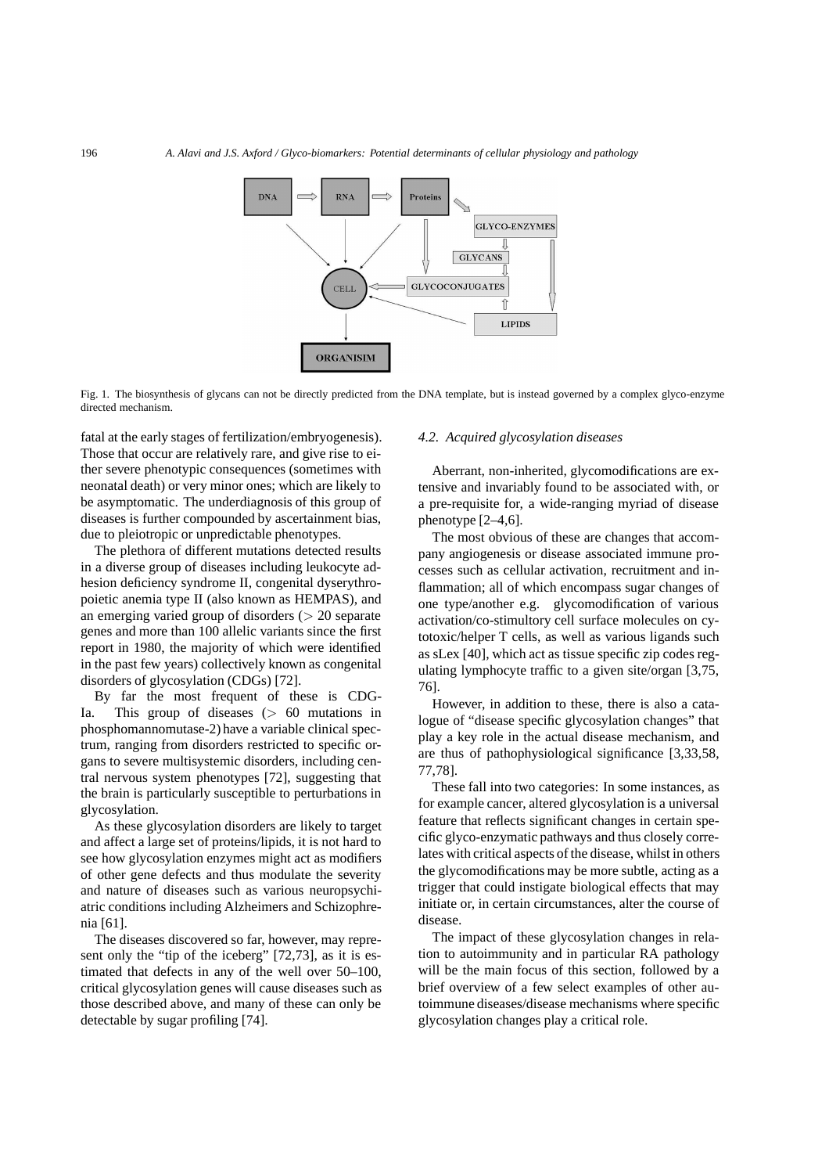

Fig. 1. The biosynthesis of glycans can not be directly predicted from the DNA template, but is instead governed by a complex glyco-enzyme directed mechanism.

fatal at the early stages of fertilization/embryogenesis). Those that occur are relatively rare, and give rise to either severe phenotypic consequences (sometimes with neonatal death) or very minor ones; which are likely to be asymptomatic. The underdiagnosis of this group of diseases is further compounded by ascertainment bias, due to pleiotropic or unpredictable phenotypes.

The plethora of different mutations detected results in a diverse group of diseases including leukocyte adhesion deficiency syndrome II, congenital dyserythropoietic anemia type II (also known as HEMPAS), and an emerging varied group of disorders (> 20 separate genes and more than 100 allelic variants since the first report in 1980, the majority of which were identified in the past few years) collectively known as congenital disorders of glycosylation (CDGs) [72].

By far the most frequent of these is CDG-Ia. This group of diseases (> 60 mutations in phosphomannomutase-2) have a variable clinical spectrum, ranging from disorders restricted to specific organs to severe multisystemic disorders, including central nervous system phenotypes [72], suggesting that the brain is particularly susceptible to perturbations in glycosylation.

As these glycosylation disorders are likely to target and affect a large set of proteins/lipids, it is not hard to see how glycosylation enzymes might act as modifiers of other gene defects and thus modulate the severity and nature of diseases such as various neuropsychiatric conditions including Alzheimers and Schizophrenia [61].

The diseases discovered so far, however, may represent only the "tip of the iceberg" [72,73], as it is estimated that defects in any of the well over 50–100, critical glycosylation genes will cause diseases such as those described above, and many of these can only be detectable by sugar profiling [74].

## *4.2. Acquired glycosylation diseases*

Aberrant, non-inherited, glycomodifications are extensive and invariably found to be associated with, or a pre-requisite for, a wide-ranging myriad of disease phenotype [2–4,6].

The most obvious of these are changes that accompany angiogenesis or disease associated immune processes such as cellular activation, recruitment and inflammation; all of which encompass sugar changes of one type/another e.g. glycomodification of various activation/co-stimultory cell surface molecules on cytotoxic/helper T cells, as well as various ligands such as sLex [40], which act as tissue specific zip codes regulating lymphocyte traffic to a given site/organ [3,75, 76].

However, in addition to these, there is also a catalogue of "disease specific glycosylation changes" that play a key role in the actual disease mechanism, and are thus of pathophysiological significance [3,33,58, 77,78].

These fall into two categories: In some instances, as for example cancer, altered glycosylation is a universal feature that reflects significant changes in certain specific glyco-enzymatic pathways and thus closely correlates with critical aspects of the disease, whilst in others the glycomodifications may be more subtle, acting as a trigger that could instigate biological effects that may initiate or, in certain circumstances, alter the course of disease.

The impact of these glycosylation changes in relation to autoimmunity and in particular RA pathology will be the main focus of this section, followed by a brief overview of a few select examples of other autoimmune diseases/disease mechanisms where specific glycosylation changes play a critical role.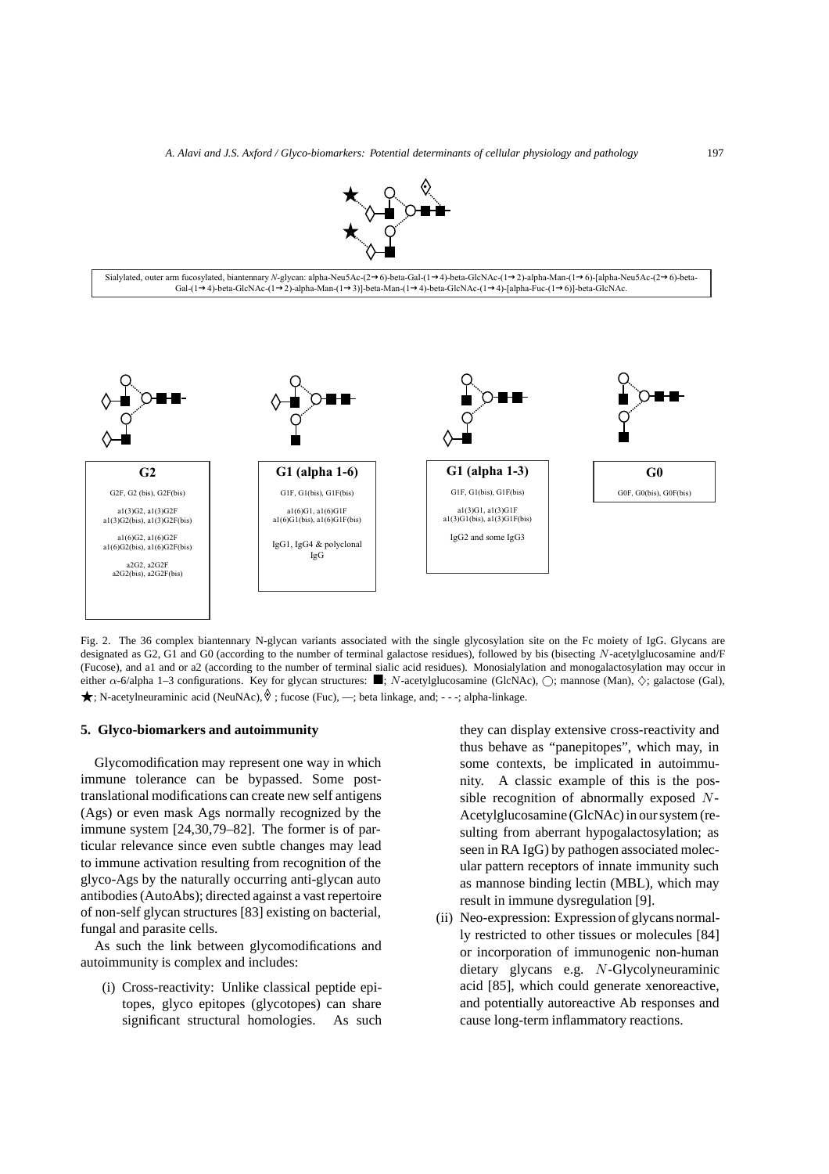

Fig. 2. The 36 complex biantennary N-glycan variants associated with the single glycosylation site on the Fc moiety of IgG. Glycans are designated as G2, G1 and G0 (according to the number of terminal galactose residues), followed by bis (bisecting N-acetylglucosamine and/F (Fucose), and a1 and or a2 (according to the number of terminal sialic acid residues). Monosialylation and monogalactosylation may occur in either  $\alpha$ -6/alpha 1–3 configurations. Key for glycan structures:  $\blacksquare$ ; *N*-acetylglucosamine (GlcNAc),  $\bigcirc$ ; mannose (Man),  $\diamondsuit$ ; galactose (Gal),  $\bigstar$ ; N-acetylneuraminic acid (NeuNAc),  $\mathcal{N}$ ; fucose (Fuc),  $\longrightarrow$ ; beta linkage, and; - - -; alpha-linkage.

## **5. Glyco-biomarkers and autoimmunity**

Glycomodification may represent one way in which immune tolerance can be bypassed. Some posttranslational modifications can create new self antigens (Ags) or even mask Ags normally recognized by the immune system [24,30,79–82]. The former is of particular relevance since even subtle changes may lead to immune activation resulting from recognition of the glyco-Ags by the naturally occurring anti-glycan auto antibodies (AutoAbs); directed against a vast repertoire of non-self glycan structures [83] existing on bacterial, fungal and parasite cells.

As such the link between glycomodifications and autoimmunity is complex and includes:

(i) Cross-reactivity: Unlike classical peptide epitopes, glyco epitopes (glycotopes) can share significant structural homologies. As such they can display extensive cross-reactivity and thus behave as "panepitopes", which may, in some contexts, be implicated in autoimmunity. A classic example of this is the possible recognition of abnormally exposed N-Acetylglucosamine (GlcNAc) in our system (resulting from aberrant hypogalactosylation; as seen in RA IgG) by pathogen associated molecular pattern receptors of innate immunity such as mannose binding lectin (MBL), which may result in immune dysregulation [9].

(ii) Neo-expression: Expression of glycans normally restricted to other tissues or molecules [84] or incorporation of immunogenic non-human dietary glycans e.g. N-Glycolyneuraminic acid [85], which could generate xenoreactive, and potentially autoreactive Ab responses and cause long-term inflammatory reactions.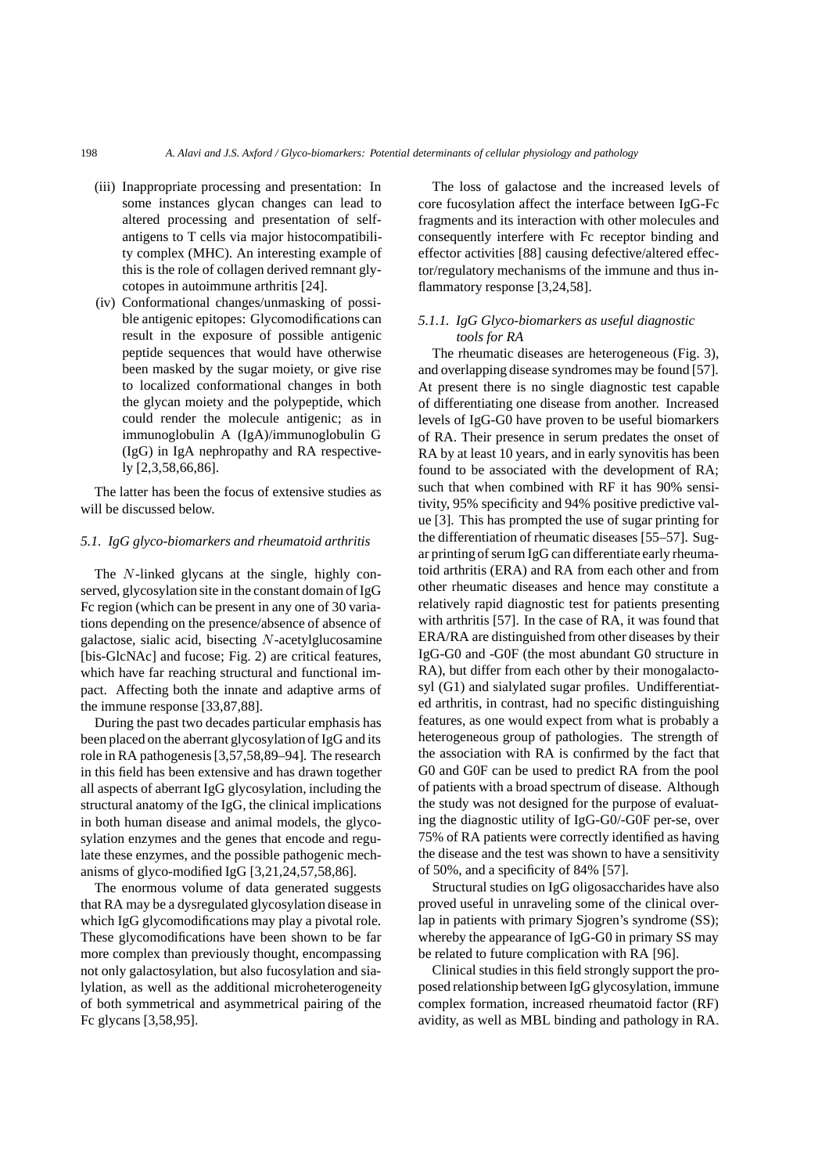- (iii) Inappropriate processing and presentation: In some instances glycan changes can lead to altered processing and presentation of selfantigens to T cells via major histocompatibility complex (MHC). An interesting example of this is the role of collagen derived remnant glycotopes in autoimmune arthritis [24].
- (iv) Conformational changes/unmasking of possible antigenic epitopes: Glycomodifications can result in the exposure of possible antigenic peptide sequences that would have otherwise been masked by the sugar moiety, or give rise to localized conformational changes in both the glycan moiety and the polypeptide, which could render the molecule antigenic; as in immunoglobulin A (IgA)/immunoglobulin G (IgG) in IgA nephropathy and RA respectively [2,3,58,66,86].

The latter has been the focus of extensive studies as will be discussed below.

## *5.1. IgG glyco-biomarkers and rheumatoid arthritis*

The N-linked glycans at the single, highly conserved, glycosylation site in the constant domain of IgG Fc region (which can be present in any one of 30 variations depending on the presence/absence of absence of galactose, sialic acid, bisecting N-acetylglucosamine [bis-GlcNAc] and fucose; Fig. 2) are critical features, which have far reaching structural and functional impact. Affecting both the innate and adaptive arms of the immune response [33,87,88].

During the past two decades particular emphasis has been placed on the aberrant glycosylation of IgG and its role in RA pathogenesis [3,57,58,89–94]. The research in this field has been extensive and has drawn together all aspects of aberrant IgG glycosylation, including the structural anatomy of the IgG, the clinical implications in both human disease and animal models, the glycosylation enzymes and the genes that encode and regulate these enzymes, and the possible pathogenic mechanisms of glyco-modified IgG [3,21,24,57,58,86].

The enormous volume of data generated suggests that RA may be a dysregulated glycosylation disease in which IgG glycomodifications may play a pivotal role. These glycomodifications have been shown to be far more complex than previously thought, encompassing not only galactosylation, but also fucosylation and sialylation, as well as the additional microheterogeneity of both symmetrical and asymmetrical pairing of the Fc glycans [3,58,95].

The loss of galactose and the increased levels of core fucosylation affect the interface between IgG-Fc fragments and its interaction with other molecules and consequently interfere with Fc receptor binding and effector activities [88] causing defective/altered effector/regulatory mechanisms of the immune and thus inflammatory response [3,24,58].

## *5.1.1. IgG Glyco-biomarkers as useful diagnostic tools for RA*

The rheumatic diseases are heterogeneous (Fig. 3), and overlapping disease syndromes may be found [57]. At present there is no single diagnostic test capable of differentiating one disease from another. Increased levels of IgG-G0 have proven to be useful biomarkers of RA. Their presence in serum predates the onset of RA by at least 10 years, and in early synovitis has been found to be associated with the development of RA; such that when combined with RF it has 90% sensitivity, 95% specificity and 94% positive predictive value [3]. This has prompted the use of sugar printing for the differentiation of rheumatic diseases [55–57]. Sugar printing of serum IgG can differentiate early rheumatoid arthritis (ERA) and RA from each other and from other rheumatic diseases and hence may constitute a relatively rapid diagnostic test for patients presenting with arthritis [57]. In the case of RA, it was found that ERA/RA are distinguished from other diseases by their IgG-G0 and -G0F (the most abundant G0 structure in RA), but differ from each other by their monogalactosyl (G1) and sialylated sugar profiles. Undifferentiated arthritis, in contrast, had no specific distinguishing features, as one would expect from what is probably a heterogeneous group of pathologies. The strength of the association with RA is confirmed by the fact that G0 and G0F can be used to predict RA from the pool of patients with a broad spectrum of disease. Although the study was not designed for the purpose of evaluating the diagnostic utility of IgG-G0/-G0F per-se, over 75% of RA patients were correctly identified as having the disease and the test was shown to have a sensitivity of 50%, and a specificity of 84% [57].

Structural studies on IgG oligosaccharides have also proved useful in unraveling some of the clinical overlap in patients with primary Sjogren's syndrome (SS); whereby the appearance of IgG-G0 in primary SS may be related to future complication with RA [96].

Clinical studies in this field strongly support the proposed relationship between IgG glycosylation, immune complex formation, increased rheumatoid factor (RF) avidity, as well as MBL binding and pathology in RA.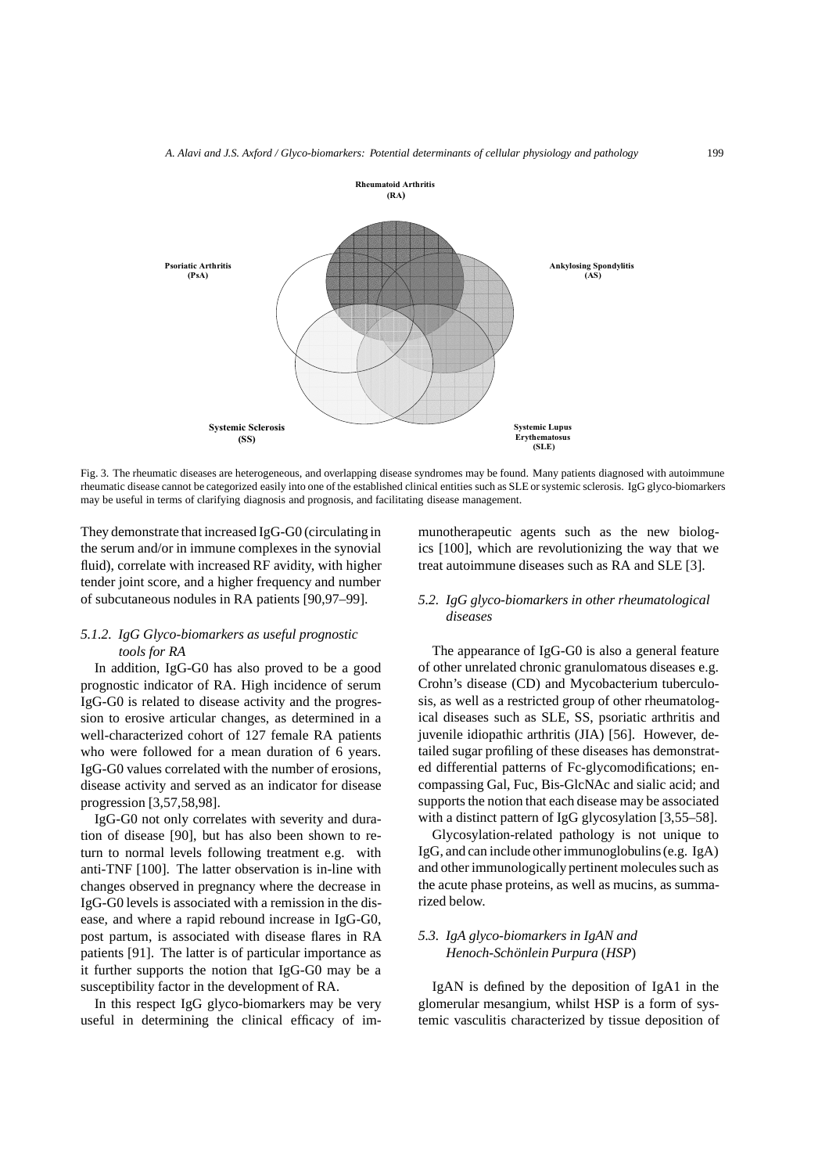

Fig. 3. The rheumatic diseases are heterogeneous, and overlapping disease syndromes may be found. Many patients diagnosed with autoimmune rheumatic disease cannot be categorized easily into one of the established clinical entities such as SLE or systemic sclerosis. IgG glyco-biomarkers may be useful in terms of clarifying diagnosis and prognosis, and facilitating disease management.

They demonstrate that increased IgG-G0 (circulating in the serum and/or in immune complexes in the synovial fluid), correlate with increased RF avidity, with higher tender joint score, and a higher frequency and number of subcutaneous nodules in RA patients [90,97–99].

# *5.1.2. IgG Glyco-biomarkers as useful prognostic tools for RA*

In addition, IgG-G0 has also proved to be a good prognostic indicator of RA. High incidence of serum IgG-G0 is related to disease activity and the progression to erosive articular changes, as determined in a well-characterized cohort of 127 female RA patients who were followed for a mean duration of 6 years. IgG-G0 values correlated with the number of erosions, disease activity and served as an indicator for disease progression [3,57,58,98].

IgG-G0 not only correlates with severity and duration of disease [90], but has also been shown to return to normal levels following treatment e.g. with anti-TNF [100]. The latter observation is in-line with changes observed in pregnancy where the decrease in IgG-G0 levels is associated with a remission in the disease, and where a rapid rebound increase in IgG-G0, post partum, is associated with disease flares in RA patients [91]. The latter is of particular importance as it further supports the notion that IgG-G0 may be a susceptibility factor in the development of RA.

In this respect IgG glyco-biomarkers may be very useful in determining the clinical efficacy of immunotherapeutic agents such as the new biologics [100], which are revolutionizing the way that we treat autoimmune diseases such as RA and SLE [3].

## *5.2. IgG glyco-biomarkers in other rheumatological diseases*

The appearance of IgG-G0 is also a general feature of other unrelated chronic granulomatous diseases e.g. Crohn's disease (CD) and Mycobacterium tuberculosis, as well as a restricted group of other rheumatological diseases such as SLE, SS, psoriatic arthritis and juvenile idiopathic arthritis (JIA) [56]. However, detailed sugar profiling of these diseases has demonstrated differential patterns of Fc-glycomodifications; encompassing Gal, Fuc, Bis-GlcNAc and sialic acid; and supports the notion that each disease may be associated with a distinct pattern of IgG glycosylation [3,55–58].

Glycosylation-related pathology is not unique to IgG, and can include other immunoglobulins (e.g. IgA) and other immunologically pertinent molecules such as the acute phase proteins, as well as mucins, as summarized below.

# *5.3. IgA glyco-biomarkers in IgAN and*  $Henoch-Schönlein Purpura (HSP)$

IgAN is defined by the deposition of IgA1 in the glomerular mesangium, whilst HSP is a form of systemic vasculitis characterized by tissue deposition of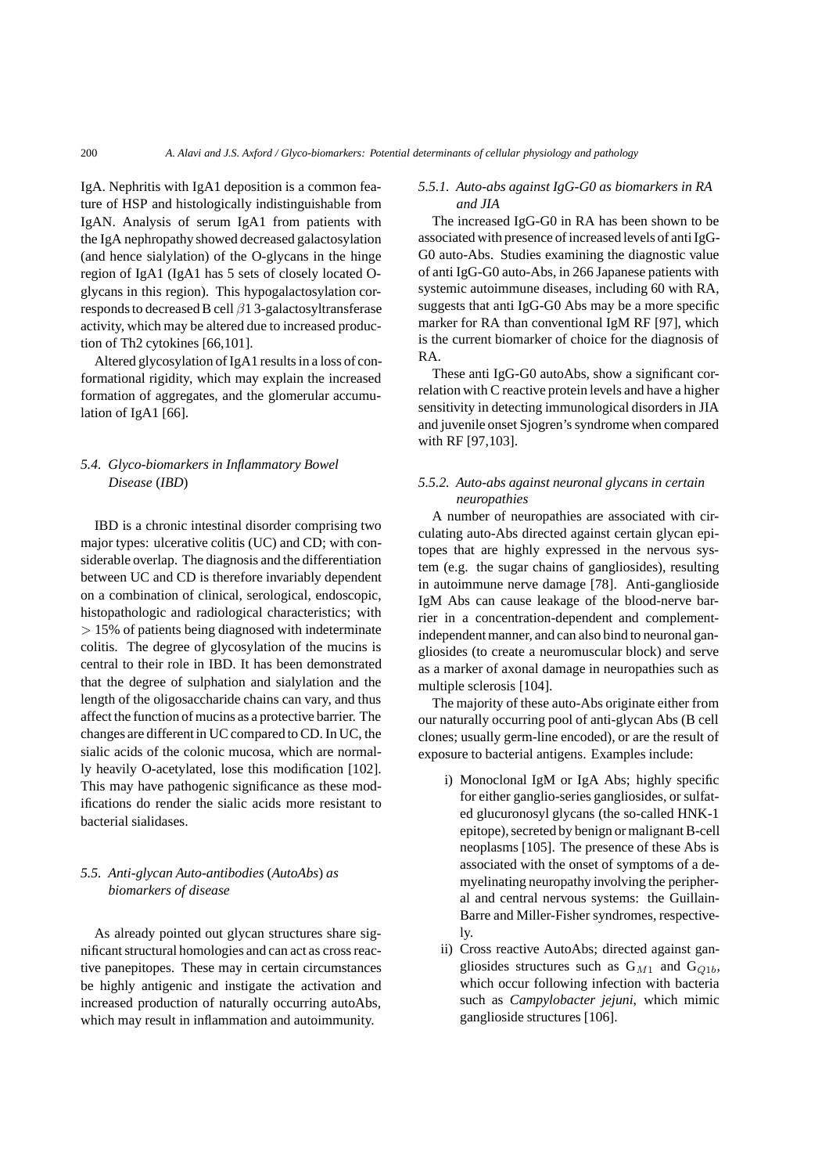IgA. Nephritis with IgA1 deposition is a common feature of HSP and histologically indistinguishable from IgAN. Analysis of serum IgA1 from patients with the IgA nephropathy showed decreased galactosylation (and hence sialylation) of the O-glycans in the hinge region of IgA1 (IgA1 has 5 sets of closely located Oglycans in this region). This hypogalactosylation corresponds to decreased B cell β1 3-galactosyltransferase activity, which may be altered due to increased production of Th2 cytokines [66,101].

Altered glycosylation of IgA1 results in a loss of conformational rigidity, which may explain the increased formation of aggregates, and the glomerular accumulation of IgA1 [66].

# *5.4. Glyco-biomarkers in Inflammatory Bowel Disease* (*IBD*)

IBD is a chronic intestinal disorder comprising two major types: ulcerative colitis (UC) and CD; with considerable overlap. The diagnosis and the differentiation between UC and CD is therefore invariably dependent on a combination of clinical, serological, endoscopic, histopathologic and radiological characteristics; with  $> 15\%$  of patients being diagnosed with indeterminate colitis. The degree of glycosylation of the mucins is central to their role in IBD. It has been demonstrated that the degree of sulphation and sialylation and the length of the oligosaccharide chains can vary, and thus affect the function of mucins as a protective barrier. The changes are different in UC compared to CD. In UC, the sialic acids of the colonic mucosa, which are normally heavily O-acetylated, lose this modification [102]. This may have pathogenic significance as these modifications do render the sialic acids more resistant to bacterial sialidases.

## *5.5. Anti-glycan Auto-antibodies* (*AutoAbs*) *as biomarkers of disease*

As already pointed out glycan structures share significant structural homologies and can act as cross reactive panepitopes. These may in certain circumstances be highly antigenic and instigate the activation and increased production of naturally occurring autoAbs, which may result in inflammation and autoimmunity.

#### *5.5.1. Auto-abs against IgG-G0 as biomarkers in RA and JIA*

The increased IgG-G0 in RA has been shown to be associated with presence of increased levels of anti IgG-G0 auto-Abs. Studies examining the diagnostic value of anti IgG-G0 auto-Abs, in 266 Japanese patients with systemic autoimmune diseases, including 60 with RA, suggests that anti IgG-G0 Abs may be a more specific marker for RA than conventional IgM RF [97], which is the current biomarker of choice for the diagnosis of RA.

These anti IgG-G0 autoAbs, show a significant correlation with C reactive protein levels and have a higher sensitivity in detecting immunological disorders in JIA and juvenile onset Sjogren's syndrome when compared with RF [97,103].

## *5.5.2. Auto-abs against neuronal glycans in certain neuropathies*

A number of neuropathies are associated with circulating auto-Abs directed against certain glycan epitopes that are highly expressed in the nervous system (e.g. the sugar chains of gangliosides), resulting in autoimmune nerve damage [78]. Anti-ganglioside IgM Abs can cause leakage of the blood-nerve barrier in a concentration-dependent and complementindependent manner, and can also bind to neuronal gangliosides (to create a neuromuscular block) and serve as a marker of axonal damage in neuropathies such as multiple sclerosis [104].

The majority of these auto-Abs originate either from our naturally occurring pool of anti-glycan Abs (B cell clones; usually germ-line encoded), or are the result of exposure to bacterial antigens. Examples include:

- i) Monoclonal IgM or IgA Abs; highly specific for either ganglio-series gangliosides, or sulfated glucuronosyl glycans (the so-called HNK-1 epitope), secreted by benign or malignant B-cell neoplasms [105]. The presence of these Abs is associated with the onset of symptoms of a demyelinating neuropathy involving the peripheral and central nervous systems: the Guillain-Barre and Miller-Fisher syndromes, respectively.
- ii) Cross reactive AutoAbs; directed against gangliosides structures such as G*M*<sup>1</sup> and G*Q*1*b*, which occur following infection with bacteria such as *Campylobacter jejuni*, which mimic ganglioside structures [106].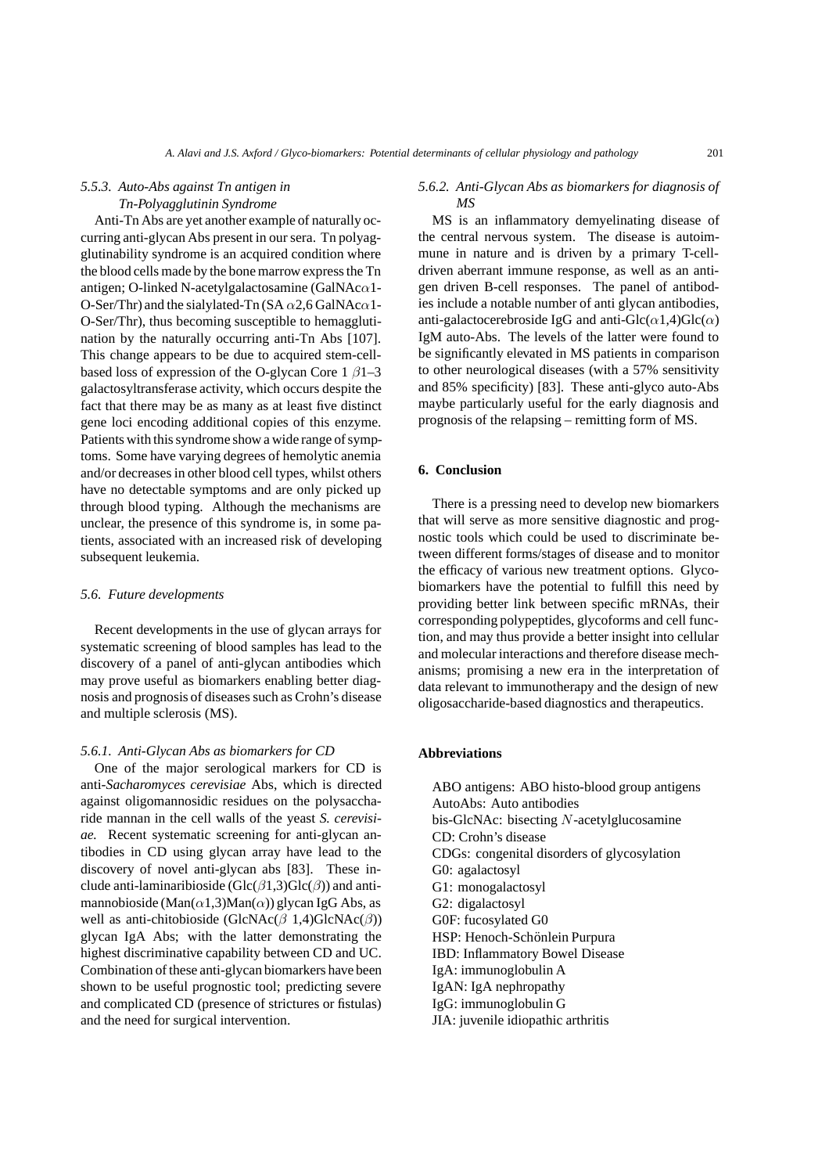#### *5.5.3. Auto-Abs against Tn antigen in Tn-Polyagglutinin Syndrome*

Anti-Tn Abs are yet another example of naturally occurring anti-glycan Abs present in our sera. Tn polyagglutinability syndrome is an acquired condition where the blood cells made by the bone marrow express the Tn antigen; O-linked N-acetylgalactosamine (GalNAc $\alpha$ 1-O-Ser/Thr) and the sialylated-Tn (SA  $\alpha$ 2,6 GalNAc $\alpha$ 1-O-Ser/Thr), thus becoming susceptible to hemagglutination by the naturally occurring anti-Tn Abs [107]. This change appears to be due to acquired stem-cellbased loss of expression of the O-glycan Core 1  $\beta$ 1–3 galactosyltransferase activity, which occurs despite the fact that there may be as many as at least five distinct gene loci encoding additional copies of this enzyme. Patients with this syndrome show a wide range of symptoms. Some have varying degrees of hemolytic anemia and/or decreases in other blood cell types, whilst others have no detectable symptoms and are only picked up through blood typing. Although the mechanisms are unclear, the presence of this syndrome is, in some patients, associated with an increased risk of developing subsequent leukemia.

#### *5.6. Future developments*

Recent developments in the use of glycan arrays for systematic screening of blood samples has lead to the discovery of a panel of anti-glycan antibodies which may prove useful as biomarkers enabling better diagnosis and prognosis of diseases such as Crohn's disease and multiple sclerosis (MS).

#### *5.6.1. Anti-Glycan Abs as biomarkers for CD*

One of the major serological markers for CD is anti-*Sacharomyces cerevisiae* Abs, which is directed against oligomannosidic residues on the polysaccharide mannan in the cell walls of the yeast *S. cerevisiae.* Recent systematic screening for anti-glycan antibodies in CD using glycan array have lead to the discovery of novel anti-glycan abs [83]. These include anti-laminaribioside ( $Glc(\beta1,3)Glc(\beta)$ ) and antimannobioside (Man( $\alpha$ 1,3)Man( $\alpha$ )) glycan IgG Abs, as well as anti-chitobioside (GlcNAc( $\beta$  1,4)GlcNAc( $\beta$ )) glycan IgA Abs; with the latter demonstrating the highest discriminative capability between CD and UC. Combination of these anti-glycan biomarkers have been shown to be useful prognostic tool; predicting severe and complicated CD (presence of strictures or fistulas) and the need for surgical intervention.

#### *5.6.2. Anti-Glycan Abs as biomarkers for diagnosis of MS*

MS is an inflammatory demyelinating disease of the central nervous system. The disease is autoimmune in nature and is driven by a primary T-celldriven aberrant immune response, as well as an antigen driven B-cell responses. The panel of antibodies include a notable number of anti glycan antibodies, anti-galactocerebroside IgG and anti-Glc( $\alpha$ 1,4)Glc( $\alpha$ ) IgM auto-Abs. The levels of the latter were found to be significantly elevated in MS patients in comparison to other neurological diseases (with a 57% sensitivity and 85% specificity) [83]. These anti-glyco auto-Abs maybe particularly useful for the early diagnosis and prognosis of the relapsing – remitting form of MS.

# **6. Conclusion**

There is a pressing need to develop new biomarkers that will serve as more sensitive diagnostic and prognostic tools which could be used to discriminate between different forms/stages of disease and to monitor the efficacy of various new treatment options. Glycobiomarkers have the potential to fulfill this need by providing better link between specific mRNAs, their corresponding polypeptides, glycoforms and cell function, and may thus provide a better insight into cellular and molecular interactions and therefore disease mechanisms; promising a new era in the interpretation of data relevant to immunotherapy and the design of new oligosaccharide-based diagnostics and therapeutics.

#### **Abbreviations**

- ABO antigens: ABO histo-blood group antigens AutoAbs: Auto antibodies bis-GlcNAc: bisecting N-acetylglucosamine CD: Crohn's disease CDGs: congenital disorders of glycosylation G0: agalactosyl G1: monogalactosyl G2: digalactosyl G0F: fucosylated G0 HSP: Henoch-Schönlein Purpura IBD: Inflammatory Bowel Disease IgA: immunoglobulin A IgAN: IgA nephropathy IgG: immunoglobulin G
- JIA: juvenile idiopathic arthritis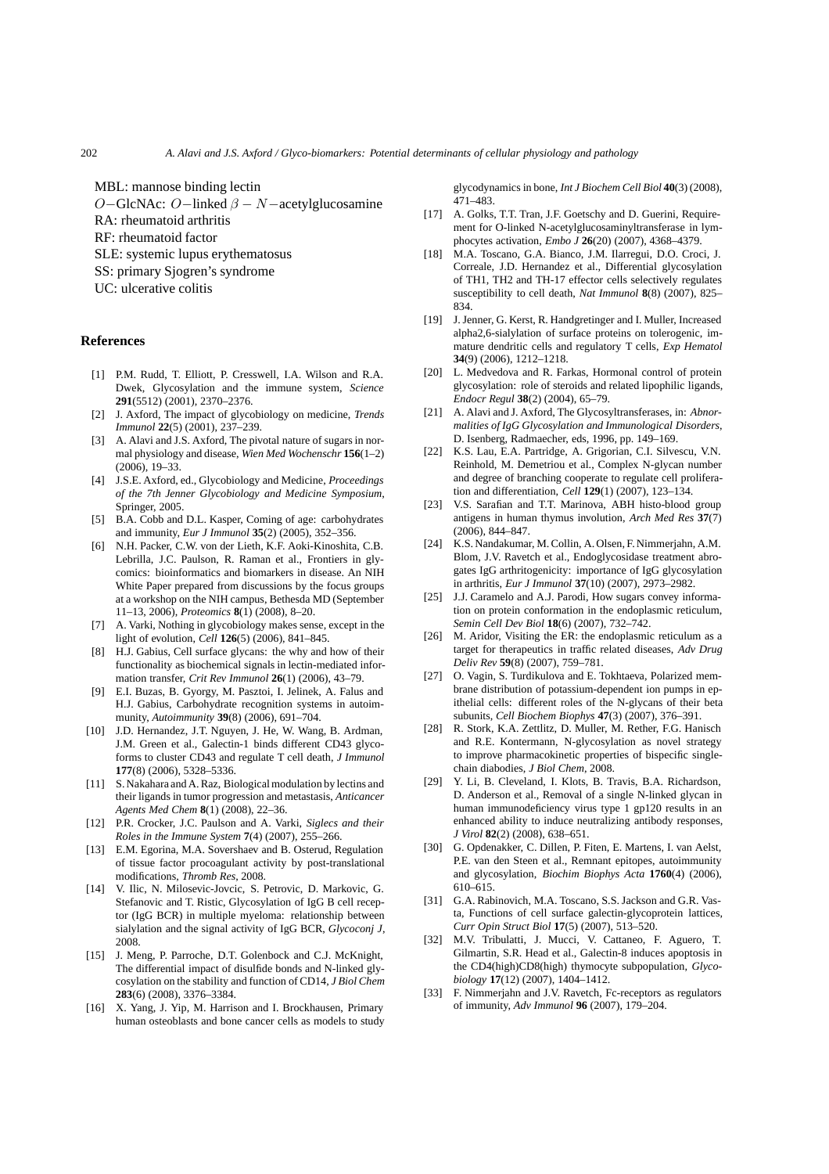MBL: mannose binding lectin

O*−*GlcNAc: O*−*linked β *−* N*−*acetylglucosamine

RA: rheumatoid arthritis

RF: rheumatoid factor

SLE: systemic lupus erythematosus

SS: primary Sjogren's syndrome

UC: ulcerative colitis

#### **References**

- [1] P.M. Rudd, T. Elliott, P. Cresswell, I.A. Wilson and R.A. Dwek, Glycosylation and the immune system, *Science* **291**(5512) (2001), 2370–2376.
- [2] J. Axford, The impact of glycobiology on medicine, *Trends Immunol* **22**(5) (2001), 237–239.
- [3] A. Alavi and J.S. Axford, The pivotal nature of sugars in normal physiology and disease, *Wien Med Wochenschr* **156**(1–2) (2006), 19–33.
- [4] J.S.E. Axford, ed., Glycobiology and Medicine, *Proceedings of the 7th Jenner Glycobiology and Medicine Symposium*, Springer, 2005.
- [5] B.A. Cobb and D.L. Kasper, Coming of age: carbohydrates and immunity, *Eur J Immunol* **35**(2) (2005), 352–356.
- [6] N.H. Packer, C.W. von der Lieth, K.F. Aoki-Kinoshita, C.B. Lebrilla, J.C. Paulson, R. Raman et al., Frontiers in glycomics: bioinformatics and biomarkers in disease. An NIH White Paper prepared from discussions by the focus groups at a workshop on the NIH campus, Bethesda MD (September 11–13, 2006), *Proteomics* **8**(1) (2008), 8–20.
- [7] A. Varki, Nothing in glycobiology makes sense, except in the light of evolution, *Cell* **126**(5) (2006), 841–845.
- [8] H.J. Gabius, Cell surface glycans: the why and how of their functionality as biochemical signals in lectin-mediated information transfer, *Crit Rev Immunol* **26**(1) (2006), 43–79.
- [9] E.I. Buzas, B. Gyorgy, M. Pasztoi, I. Jelinek, A. Falus and H.J. Gabius, Carbohydrate recognition systems in autoimmunity, *Autoimmunity* **39**(8) (2006), 691–704.
- [10] J.D. Hernandez, J.T. Nguyen, J. He, W. Wang, B. Ardman, J.M. Green et al., Galectin-1 binds different CD43 glycoforms to cluster CD43 and regulate T cell death, *J Immunol* **177**(8) (2006), 5328–5336.
- [11] S. Nakahara and A. Raz, Biological modulation by lectins and their ligands in tumor progression and metastasis, *Anticancer Agents Med Chem* **8**(1) (2008), 22–36.
- [12] P.R. Crocker, J.C. Paulson and A. Varki, *Siglecs and their Roles in the Immune System* **7**(4) (2007), 255–266.
- [13] E.M. Egorina, M.A. Sovershaev and B. Osterud, Regulation of tissue factor procoagulant activity by post-translational modifications, *Thromb Res*, 2008.
- [14] V. Ilic, N. Milosevic-Jovcic, S. Petrovic, D. Markovic, G. Stefanovic and T. Ristic, Glycosylation of IgG B cell receptor (IgG BCR) in multiple myeloma: relationship between sialylation and the signal activity of IgG BCR, *Glycoconj J*, 2008.
- [15] J. Meng, P. Parroche, D.T. Golenbock and C.J. McKnight, The differential impact of disulfide bonds and N-linked glycosylation on the stability and function of CD14, *J Biol Chem* **283**(6) (2008), 3376–3384.
- [16] X. Yang, J. Yip, M. Harrison and I. Brockhausen, Primary human osteoblasts and bone cancer cells as models to study

glycodynamics in bone, *Int J Biochem Cell Biol* **40**(3) (2008), 471–483.

- [17] A. Golks, T.T. Tran, J.F. Goetschy and D. Guerini, Requirement for O-linked N-acetylglucosaminyltransferase in lymphocytes activation, *Embo J* **26**(20) (2007), 4368–4379.
- [18] M.A. Toscano, G.A. Bianco, J.M. Ilarregui, D.O. Croci, J. Correale, J.D. Hernandez et al., Differential glycosylation of TH1, TH2 and TH-17 effector cells selectively regulates susceptibility to cell death, *Nat Immunol* **8**(8) (2007), 825– 834.
- [19] J. Jenner, G. Kerst, R. Handgretinger and I. Muller, Increased alpha2,6-sialylation of surface proteins on tolerogenic, immature dendritic cells and regulatory T cells, *Exp Hematol* **34**(9) (2006), 1212–1218.
- [20] L. Medvedova and R. Farkas, Hormonal control of protein glycosylation: role of steroids and related lipophilic ligands, *Endocr Regul* **38**(2) (2004), 65–79.
- [21] A. Alavi and J. Axford, The Glycosyltransferases, in: *Abnormalities of IgG Glycosylation and Immunological Disorders*, D. Isenberg, Radmaecher, eds, 1996, pp. 149–169.
- [22] K.S. Lau, E.A. Partridge, A. Grigorian, C.I. Silvescu, V.N. Reinhold, M. Demetriou et al., Complex N-glycan number and degree of branching cooperate to regulate cell proliferation and differentiation, *Cell* **129**(1) (2007), 123–134.
- [23] V.S. Sarafian and T.T. Marinova, ABH histo-blood group antigens in human thymus involution, *Arch Med Res* **37**(7) (2006), 844–847.
- [24] K.S. Nandakumar, M. Collin, A. Olsen, F. Nimmerjahn, A.M. Blom, J.V. Ravetch et al., Endoglycosidase treatment abrogates IgG arthritogenicity: importance of IgG glycosylation in arthritis, *Eur J Immunol* **37**(10) (2007), 2973–2982.
- [25] J.J. Caramelo and A.J. Parodi, How sugars convey information on protein conformation in the endoplasmic reticulum, *Semin Cell Dev Biol* **18**(6) (2007), 732–742.
- [26] M. Aridor, Visiting the ER: the endoplasmic reticulum as a target for therapeutics in traffic related diseases, *Adv Drug Deliv Rev* **59**(8) (2007), 759–781.
- [27] O. Vagin, S. Turdikulova and E. Tokhtaeva, Polarized membrane distribution of potassium-dependent ion pumps in epithelial cells: different roles of the N-glycans of their beta subunits, *Cell Biochem Biophys* **47**(3) (2007), 376–391.
- [28] R. Stork, K.A. Zettlitz, D. Muller, M. Rether, F.G. Hanisch and R.E. Kontermann, N-glycosylation as novel strategy to improve pharmacokinetic properties of bispecific singlechain diabodies, *J Biol Chem*, 2008.
- [29] Y. Li, B. Cleveland, I. Klots, B. Travis, B.A. Richardson, D. Anderson et al., Removal of a single N-linked glycan in human immunodeficiency virus type 1 gp120 results in an enhanced ability to induce neutralizing antibody responses, *J Virol* **82**(2) (2008), 638–651.
- [30] G. Opdenakker, C. Dillen, P. Fiten, E. Martens, I. van Aelst, P.E. van den Steen et al., Remnant epitopes, autoimmunity and glycosylation, *Biochim Biophys Acta* **1760**(4) (2006), 610–615.
- [31] G.A. Rabinovich, M.A. Toscano, S.S. Jackson and G.R. Vasta, Functions of cell surface galectin-glycoprotein lattices, *Curr Opin Struct Biol* **17**(5) (2007), 513–520.
- [32] M.V. Tribulatti, J. Mucci, V. Cattaneo, F. Aguero, T. Gilmartin, S.R. Head et al., Galectin-8 induces apoptosis in the CD4(high)CD8(high) thymocyte subpopulation, *Glycobiology* **17**(12) (2007), 1404–1412.
- [33] F. Nimmerjahn and J.V. Ravetch, Fc-receptors as regulators of immunity, *Adv Immunol* **96** (2007), 179–204.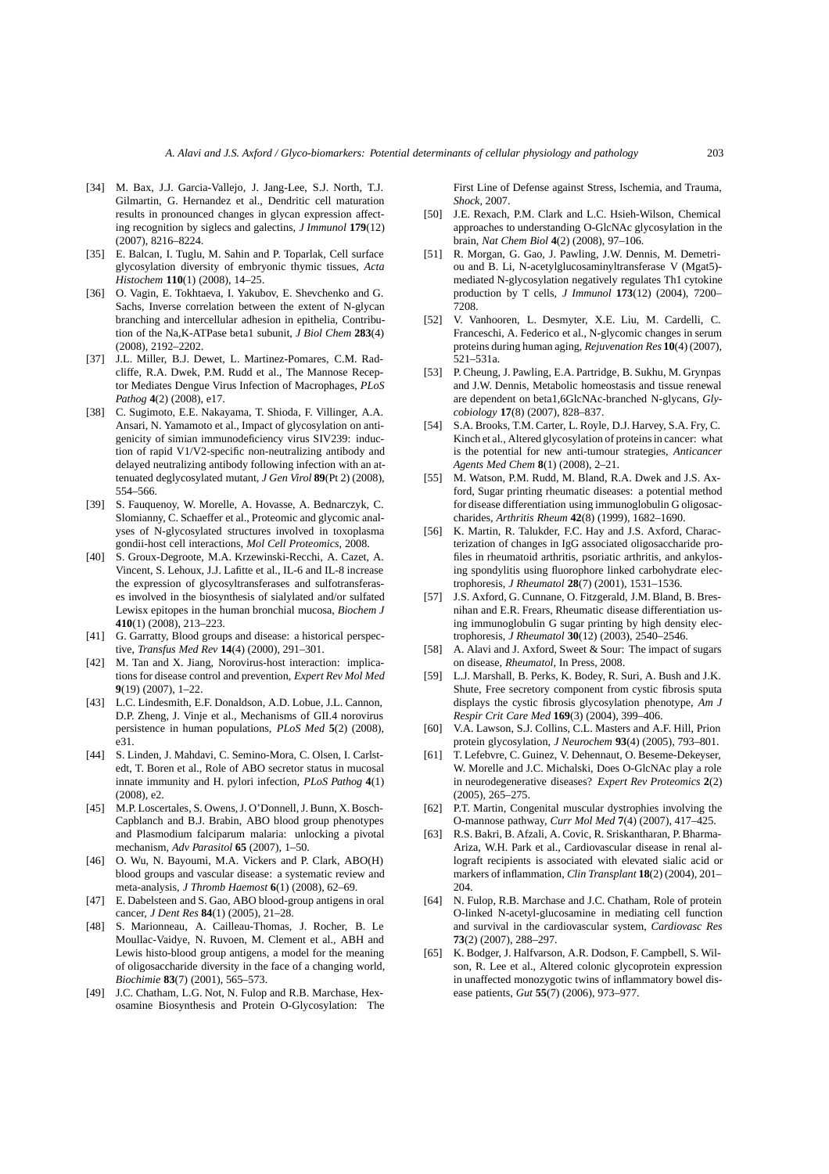- [34] M. Bax, J.J. Garcia-Vallejo, J. Jang-Lee, S.J. North, T.J. Gilmartin, G. Hernandez et al., Dendritic cell maturation results in pronounced changes in glycan expression affecting recognition by siglecs and galectins, *J Immunol* **179**(12) (2007), 8216–8224.
- [35] E. Balcan, I. Tuglu, M. Sahin and P. Toparlak, Cell surface glycosylation diversity of embryonic thymic tissues, *Acta Histochem* **110**(1) (2008), 14–25.
- [36] O. Vagin, E. Tokhtaeva, I. Yakubov, E. Shevchenko and G. Sachs, Inverse correlation between the extent of N-glycan branching and intercellular adhesion in epithelia, Contribution of the Na,K-ATPase beta1 subunit, *J Biol Chem* **283**(4) (2008), 2192–2202.
- [37] J.L. Miller, B.J. Dewet, L. Martinez-Pomares, C.M. Radcliffe, R.A. Dwek, P.M. Rudd et al., The Mannose Receptor Mediates Dengue Virus Infection of Macrophages, *PLoS Pathog* **4**(2) (2008), e17.
- [38] C. Sugimoto, E.E. Nakayama, T. Shioda, F. Villinger, A.A. Ansari, N. Yamamoto et al., Impact of glycosylation on antigenicity of simian immunodeficiency virus SIV239: induction of rapid V1/V2-specific non-neutralizing antibody and delayed neutralizing antibody following infection with an attenuated deglycosylated mutant, *J Gen Virol* **89**(Pt 2) (2008), 554–566.
- [39] S. Fauquenoy, W. Morelle, A. Hovasse, A. Bednarczyk, C. Slomianny, C. Schaeffer et al., Proteomic and glycomic analyses of N-glycosylated structures involved in toxoplasma gondii-host cell interactions, *Mol Cell Proteomics*, 2008.
- [40] S. Groux-Degroote, M.A. Krzewinski-Recchi, A. Cazet, A. Vincent, S. Lehoux, J.J. Lafitte et al., IL-6 and IL-8 increase the expression of glycosyltransferases and sulfotransferases involved in the biosynthesis of sialylated and/or sulfated Lewisx epitopes in the human bronchial mucosa, *Biochem J* **410**(1) (2008), 213–223.
- [41] G. Garratty, Blood groups and disease: a historical perspective, *Transfus Med Rev* **14**(4) (2000), 291–301.
- [42] M. Tan and X. Jiang, Norovirus-host interaction: implications for disease control and prevention, *Expert Rev Mol Med* **9**(19) (2007), 1–22.
- [43] L.C. Lindesmith, E.F. Donaldson, A.D. Lobue, J.L. Cannon, D.P. Zheng, J. Vinje et al., Mechanisms of GII.4 norovirus persistence in human populations, *PLoS Med* **5**(2) (2008),  $^{\circ}$ 31
- [44] S. Linden, J. Mahdavi, C. Semino-Mora, C. Olsen, I. Carlstedt, T. Boren et al., Role of ABO secretor status in mucosal innate immunity and H. pylori infection, *PLoS Pathog* **4**(1) (2008), e2.
- [45] M.P. Loscertales, S. Owens, J. O'Donnell, J. Bunn, X. Bosch-Capblanch and B.J. Brabin, ABO blood group phenotypes and Plasmodium falciparum malaria: unlocking a pivotal mechanism, *Adv Parasitol* **65** (2007), 1–50.
- [46] O. Wu, N. Bayoumi, M.A. Vickers and P. Clark, ABO(H) blood groups and vascular disease: a systematic review and meta-analysis, *J Thromb Haemost* **6**(1) (2008), 62–69.
- [47] E. Dabelsteen and S. Gao, ABO blood-group antigens in oral cancer, *J Dent Res* **84**(1) (2005), 21–28.
- [48] S. Marionneau, A. Cailleau-Thomas, J. Rocher, B. Le Moullac-Vaidye, N. Ruvoen, M. Clement et al., ABH and Lewis histo-blood group antigens, a model for the meaning of oligosaccharide diversity in the face of a changing world, *Biochimie* **83**(7) (2001), 565–573.
- [49] J.C. Chatham, L.G. Not, N. Fulop and R.B. Marchase, Hexosamine Biosynthesis and Protein O-Glycosylation: The

First Line of Defense against Stress, Ischemia, and Trauma, *Shock*, 2007.

- [50] J.E. Rexach, P.M. Clark and L.C. Hsieh-Wilson, Chemical approaches to understanding O-GlcNAc glycosylation in the brain, *Nat Chem Biol* **4**(2) (2008), 97–106.
- [51] R. Morgan, G. Gao, J. Pawling, J.W. Dennis, M. Demetriou and B. Li, N-acetylglucosaminyltransferase V (Mgat5) mediated N-glycosylation negatively regulates Th1 cytokine production by T cells, *J Immunol* **173**(12) (2004), 7200– 7208.
- [52] V. Vanhooren, L. Desmyter, X.E. Liu, M. Cardelli, C. Franceschi, A. Federico et al., N-glycomic changes in serum proteins during human aging, *Rejuvenation Res* **10**(4) (2007), 521–531a.
- [53] P. Cheung, J. Pawling, E.A. Partridge, B. Sukhu, M. Grynpas and J.W. Dennis, Metabolic homeostasis and tissue renewal are dependent on beta1,6GlcNAc-branched N-glycans, *Glycobiology* **17**(8) (2007), 828–837.
- [54] S.A. Brooks, T.M. Carter, L. Royle, D.J. Harvey, S.A. Fry, C. Kinch et al., Altered glycosylation of proteins in cancer: what is the potential for new anti-tumour strategies, *Anticancer Agents Med Chem* **8**(1) (2008), 2–21.
- [55] M. Watson, P.M. Rudd, M. Bland, R.A. Dwek and J.S. Axford, Sugar printing rheumatic diseases: a potential method for disease differentiation using immunoglobulin G oligosaccharides, *Arthritis Rheum* **42**(8) (1999), 1682–1690.
- [56] K. Martin, R. Talukder, F.C. Hay and J.S. Axford, Characterization of changes in IgG associated oligosaccharide profiles in rheumatoid arthritis, psoriatic arthritis, and ankylosing spondylitis using fluorophore linked carbohydrate electrophoresis, *J Rheumatol* **28**(7) (2001), 1531–1536.
- [57] J.S. Axford, G. Cunnane, O. Fitzgerald, J.M. Bland, B. Bresnihan and E.R. Frears, Rheumatic disease differentiation using immunoglobulin G sugar printing by high density electrophoresis, *J Rheumatol* **30**(12) (2003), 2540–2546.
- [58] A. Alavi and J. Axford, Sweet & Sour: The impact of sugars on disease, *Rheumatol*, In Press, 2008.
- [59] L.J. Marshall, B. Perks, K. Bodey, R. Suri, A. Bush and J.K. Shute, Free secretory component from cystic fibrosis sputa displays the cystic fibrosis glycosylation phenotype, *Am J Respir Crit Care Med* **169**(3) (2004), 399–406.
- [60] V.A. Lawson, S.J. Collins, C.L. Masters and A.F. Hill. Prion protein glycosylation, *J Neurochem* **93**(4) (2005), 793–801.
- [61] T. Lefebvre, C. Guinez, V. Dehennaut, O. Beseme-Dekeyser, W. Morelle and J.C. Michalski, Does O-GlcNAc play a role in neurodegenerative diseases? *Expert Rev Proteomics* **2**(2) (2005), 265–275.
- [62] P.T. Martin, Congenital muscular dystrophies involving the O-mannose pathway, *Curr Mol Med* **7**(4) (2007), 417–425.
- [63] R.S. Bakri, B. Afzali, A. Covic, R. Sriskantharan, P. Bharma-Ariza, W.H. Park et al., Cardiovascular disease in renal allograft recipients is associated with elevated sialic acid or markers of inflammation, *Clin Transplant* **18**(2) (2004), 201– 204.
- [64] N. Fulop, R.B. Marchase and J.C. Chatham, Role of protein O-linked N-acetyl-glucosamine in mediating cell function and survival in the cardiovascular system, *Cardiovasc Res* **73**(2) (2007), 288–297.
- [65] K. Bodger, J. Halfvarson, A.R. Dodson, F. Campbell, S. Wilson, R. Lee et al., Altered colonic glycoprotein expression in unaffected monozygotic twins of inflammatory bowel disease patients, *Gut* **55**(7) (2006), 973–977.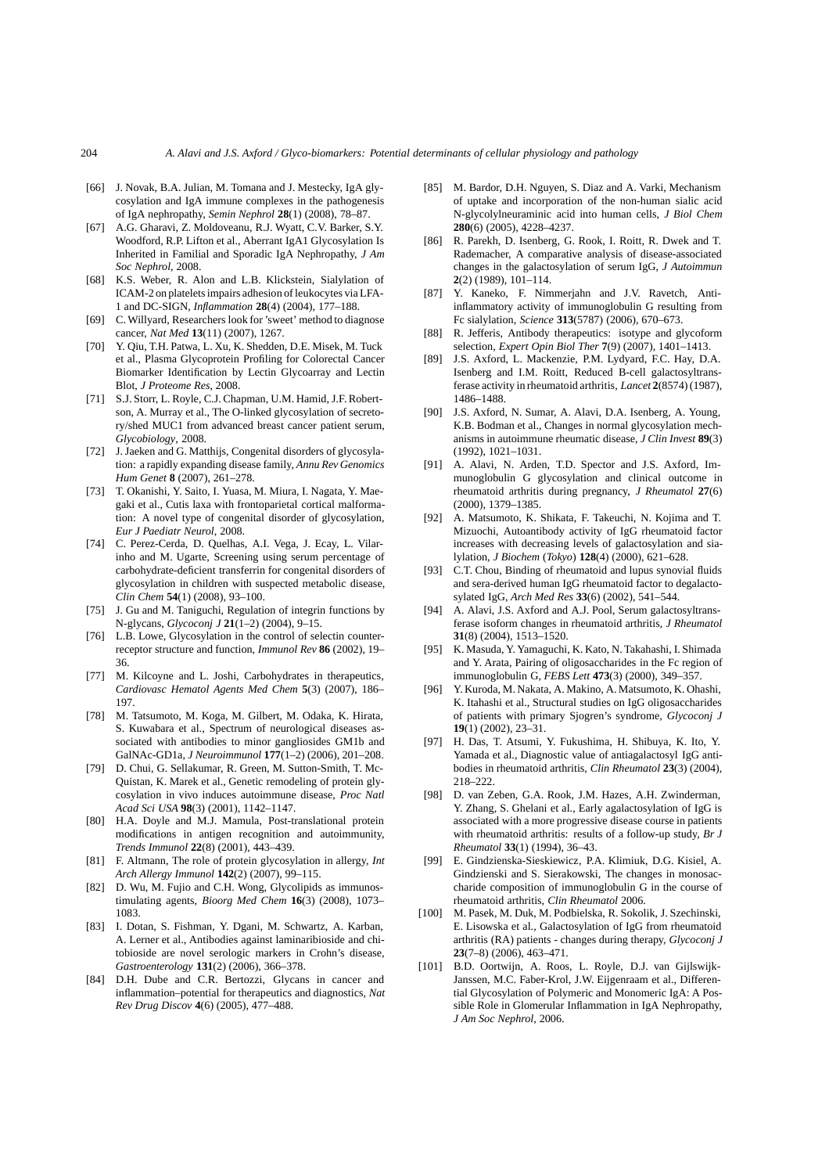- [66] J. Novak, B.A. Julian, M. Tomana and J. Mestecky, IgA glycosylation and IgA immune complexes in the pathogenesis of IgA nephropathy, *Semin Nephrol* **28**(1) (2008), 78–87.
- [67] A.G. Gharavi, Z. Moldoveanu, R.J. Wyatt, C.V. Barker, S.Y. Woodford, R.P. Lifton et al., Aberrant IgA1 Glycosylation Is Inherited in Familial and Sporadic IgA Nephropathy, *J Am Soc Nephrol*, 2008.
- [68] K.S. Weber, R. Alon and L.B. Klickstein, Sialylation of ICAM-2 on platelets impairs adhesion of leukocytes via LFA-1 and DC-SIGN, *Inflammation* **28**(4) (2004), 177–188.
- [69] C. Willyard, Researchers look for 'sweet' method to diagnose cancer, *Nat Med* **13**(11) (2007), 1267.
- [70] Y. Qiu, T.H. Patwa, L. Xu, K. Shedden, D.E. Misek, M. Tuck et al., Plasma Glycoprotein Profiling for Colorectal Cancer Biomarker Identification by Lectin Glycoarray and Lectin Blot, *J Proteome Res*, 2008.
- [71] S.J. Storr, L. Royle, C.J. Chapman, U.M. Hamid, J.F. Robertson, A. Murray et al., The O-linked glycosylation of secretory/shed MUC1 from advanced breast cancer patient serum, *Glycobiology*, 2008.
- [72] J. Jaeken and G. Matthijs, Congenital disorders of glycosylation: a rapidly expanding disease family, *Annu Rev Genomics Hum Genet* **8** (2007), 261–278.
- [73] T. Okanishi, Y. Saito, I. Yuasa, M. Miura, I. Nagata, Y. Maegaki et al., Cutis laxa with frontoparietal cortical malformation: A novel type of congenital disorder of glycosylation, *Eur J Paediatr Neurol*, 2008.
- [74] C. Perez-Cerda, D. Quelhas, A.I. Vega, J. Ecay, L. Vilarinho and M. Ugarte, Screening using serum percentage of carbohydrate-deficient transferrin for congenital disorders of glycosylation in children with suspected metabolic disease, *Clin Chem* **54**(1) (2008), 93–100.
- [75] J. Gu and M. Taniguchi, Regulation of integrin functions by N-glycans, *Glycoconj J* **21**(1–2) (2004), 9–15.
- [76] L.B. Lowe, Glycosylation in the control of selectin counterreceptor structure and function, *Immunol Rev* **86** (2002), 19– 36.
- [77] M. Kilcoyne and L. Joshi, Carbohydrates in therapeutics, *Cardiovasc Hematol Agents Med Chem* **5**(3) (2007), 186– 197.
- [78] M. Tatsumoto, M. Koga, M. Gilbert, M. Odaka, K. Hirata, S. Kuwabara et al., Spectrum of neurological diseases associated with antibodies to minor gangliosides GM1b and GalNAc-GD1a, *J Neuroimmunol* **177**(1–2) (2006), 201–208.
- [79] D. Chui, G. Sellakumar, R. Green, M. Sutton-Smith, T. Mc-Quistan, K. Marek et al., Genetic remodeling of protein glycosylation in vivo induces autoimmune disease, *Proc Natl Acad Sci USA* **98**(3) (2001), 1142–1147.
- [80] H.A. Doyle and M.J. Mamula, Post-translational protein modifications in antigen recognition and autoimmunity, *Trends Immunol* **22**(8) (2001), 443–439.
- [81] F. Altmann, The role of protein glycosylation in allergy, *Int Arch Allergy Immunol* **142**(2) (2007), 99–115.
- [82] D. Wu, M. Fujio and C.H. Wong, Glycolipids as immunostimulating agents, *Bioorg Med Chem* **16**(3) (2008), 1073– 1083.
- [83] I. Dotan, S. Fishman, Y. Dgani, M. Schwartz, A. Karban, A. Lerner et al., Antibodies against laminaribioside and chitobioside are novel serologic markers in Crohn's disease, *Gastroenterology* **131**(2) (2006), 366–378.
- [84] D.H. Dube and C.R. Bertozzi, Glycans in cancer and inflammation–potential for therapeutics and diagnostics, *Nat Rev Drug Discov* **4**(6) (2005), 477–488.
- [85] M. Bardor, D.H. Nguyen, S. Diaz and A. Varki, Mechanism of uptake and incorporation of the non-human sialic acid N-glycolylneuraminic acid into human cells, *J Biol Chem* **280**(6) (2005), 4228–4237.
- [86] R. Parekh, D. Isenberg, G. Rook, I. Roitt, R. Dwek and T. Rademacher, A comparative analysis of disease-associated changes in the galactosylation of serum IgG, *J Autoimmun* **2**(2) (1989), 101–114.
- [87] Y. Kaneko, F. Nimmerjahn and J.V. Ravetch, Antiinflammatory activity of immunoglobulin G resulting from Fc sialylation, *Science* **313**(5787) (2006), 670–673.
- [88] R. Jefferis, Antibody therapeutics: isotype and glycoform selection, *Expert Opin Biol Ther* **7**(9) (2007), 1401–1413.
- [89] J.S. Axford, L. Mackenzie, P.M. Lydyard, F.C. Hay, D.A. Isenberg and I.M. Roitt, Reduced B-cell galactosyltransferase activity in rheumatoid arthritis, *Lancet* **2**(8574) (1987), 1486–1488.
- [90] J.S. Axford, N. Sumar, A. Alavi, D.A. Isenberg, A. Young, K.B. Bodman et al., Changes in normal glycosylation mechanisms in autoimmune rheumatic disease, *J Clin Invest* **89**(3) (1992), 1021–1031.
- [91] A. Alavi, N. Arden, T.D. Spector and J.S. Axford, Immunoglobulin G glycosylation and clinical outcome in rheumatoid arthritis during pregnancy, *J Rheumatol* **27**(6) (2000), 1379–1385.
- [92] A. Matsumoto, K. Shikata, F. Takeuchi, N. Kojima and T. Mizuochi, Autoantibody activity of IgG rheumatoid factor increases with decreasing levels of galactosylation and sialylation, *J Biochem* (*Tokyo*) **128**(4) (2000), 621–628.
- [93] C.T. Chou, Binding of rheumatoid and lupus synovial fluids and sera-derived human IgG rheumatoid factor to degalactosylated IgG, *Arch Med Res* **33**(6) (2002), 541–544.
- [94] A. Alavi, J.S. Axford and A.J. Pool, Serum galactosyltransferase isoform changes in rheumatoid arthritis, *J Rheumatol* **31**(8) (2004), 1513–1520.
- [95] K. Masuda, Y. Yamaguchi, K. Kato, N. Takahashi, I. Shimada and Y. Arata, Pairing of oligosaccharides in the Fc region of immunoglobulin G, *FEBS Lett* **473**(3) (2000), 349–357.
- [96] Y. Kuroda, M. Nakata, A. Makino, A. Matsumoto, K. Ohashi, K. Itahashi et al., Structural studies on IgG oligosaccharides of patients with primary Sjogren's syndrome, *Glycoconj J* **19**(1) (2002), 23–31.
- [97] H. Das, T. Atsumi, Y. Fukushima, H. Shibuya, K. Ito, Y. Yamada et al., Diagnostic value of antiagalactosyl IgG antibodies in rheumatoid arthritis, *Clin Rheumatol* **23**(3) (2004), 218–222.
- [98] D. van Zeben, G.A. Rook, J.M. Hazes, A.H. Zwinderman, Y. Zhang, S. Ghelani et al., Early agalactosylation of IgG is associated with a more progressive disease course in patients with rheumatoid arthritis: results of a follow-up study, *Br J Rheumatol* **33**(1) (1994), 36–43.
- [99] E. Gindzienska-Sieskiewicz, P.A. Klimiuk, D.G. Kisiel, A. Gindzienski and S. Sierakowski, The changes in monosaccharide composition of immunoglobulin G in the course of rheumatoid arthritis, *Clin Rheumatol* 2006.
- [100] M. Pasek, M. Duk, M. Podbielska, R. Sokolik, J. Szechinski, E. Lisowska et al., Galactosylation of IgG from rheumatoid arthritis (RA) patients - changes during therapy, *Glycoconj J* **23**(7–8) (2006), 463–471.
- [101] B.D. Oortwijn, A. Roos, L. Royle, D.J. van Gijlswijk-Janssen, M.C. Faber-Krol, J.W. Eijgenraam et al., Differential Glycosylation of Polymeric and Monomeric IgA: A Possible Role in Glomerular Inflammation in IgA Nephropathy, *J Am Soc Nephrol*, 2006.